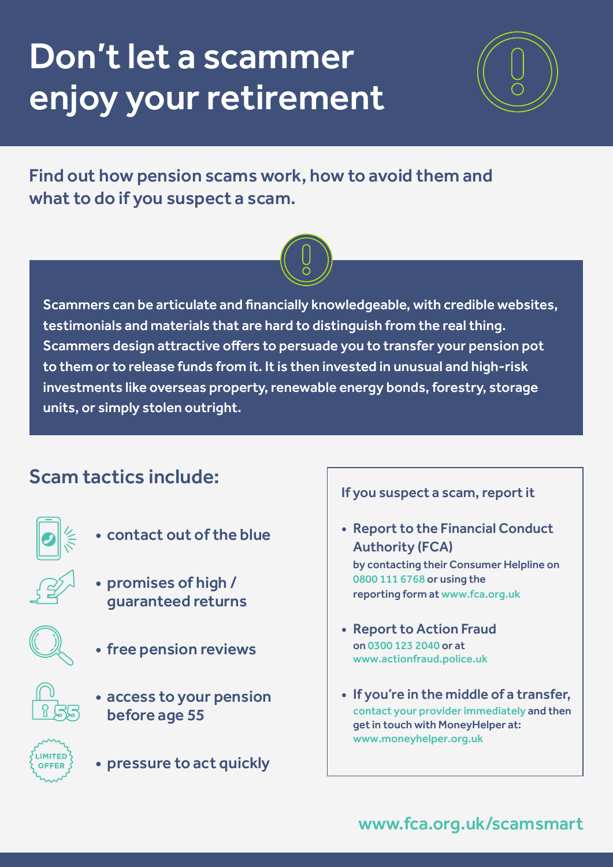# Don't let a scammer enjoy your retirement



Find out how pension scams work, how to avoid them and what to do if you suspect a scam.



Scammers can be articulate and financially knowledgeable, with credible websites, testimonials and materials that are hard to distinguish from the real thing. Scammers design attractive offers to persuade you to transfer your pension pot to them or to release funds from it. It is then invested in unusual and high-risk investments like overseas property, renewable energy bonds, forestry, storage units, or simply stolen outright.

## Scam tactics include:



- contact out of the blue
- promises of high / guaranteed returns
- 
- free pension reviews
- access to your pension before age 55



• pressure to act quickly

#### If you suspect a scam, report it

- Report to the Financial Conduct Authority (FCA) by contacting their Consumer Helpline on 0800 111 6768 or using the reporting form at www.fca.org.uk
- Report to Action Fraud on 0300 123 2040 or at www.actionfraud.police.uk
- If you're in the middle of a transfer, contact your provider immediately and then get in touch with MoneyHelper at: www.[moneyhelper.org.uk](https://www.moneyhelper.org.uk/)

#### www.fca.org.uk/scamsmart